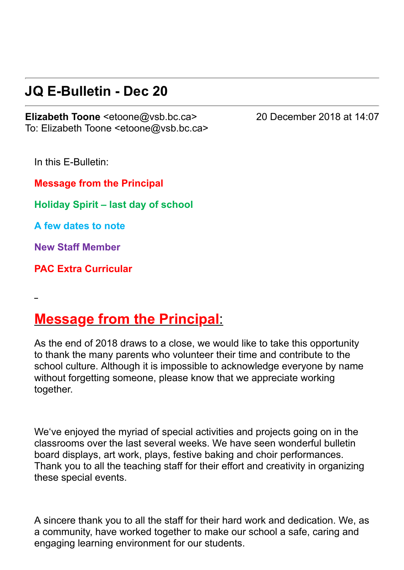## **JQ E-Bulletin - Dec 20**

**Elizabeth Toone** <etoone@vsb.bc.ca> 20 December 2018 at 14:07 To: Elizabeth Toone <etoone@vsb.bc.ca>

In this E-Bulletin:

**Message from the Principal**

**Holiday Spirit – last day of school**

**A few dates to note**

**New Staff Member**

**PAC Extra Curricular**

## **Message from the Principal**:

As the end of 2018 draws to a close, we would like to take this opportunity to thank the many parents who volunteer their time and contribute to the school culture. Although it is impossible to acknowledge everyone by name without forgetting someone, please know that we appreciate working together.

We've enjoyed the myriad of special activities and projects going on in the classrooms over the last several weeks. We have seen wonderful bulletin board displays, art work, plays, festive baking and choir performances. Thank you to all the teaching staff for their effort and creativity in organizing these special events.

A sincere thank you to all the staff for their hard work and dedication. We, as a community, have worked together to make our school a safe, caring and engaging learning environment for our students.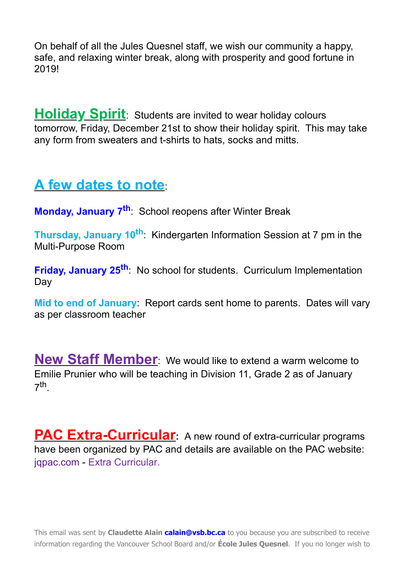On behalf of all the Jules Quesnel staff, we wish our community a happy, safe, and relaxing winter break, along with prosperity and good fortune in 2019!

**Holiday Spirit**: Students are invited to wear holiday colours tomorrow, Friday, December 21st to show their holiday spirit. This may take any form from sweaters and t-shirts to hats, socks and mitts.

## **A few dates to note**:

**Monday, January 7th** : School reopens after Winter Break

Thursday, January 10<sup>th</sup>: Kindergarten Information Session at 7 pm in the Multi-Purpose Room

**Friday, January 25th** : No school for students. Curriculum Implementation Day

**Mid to end of January**: Report cards sent home to parents. Dates will vary as per classroom teacher

**New Staff Member**: We would like to extend a warm welcome to Emilie Prunier who will be teaching in Division 11, Grade 2 as of January 7 th .

**PAC Extra-Curricular:** A new round of extra-curricular programs have been organized by PAC and details are available on the PAC website: [jqpac.com](http://jqpac.com/) - [Extra Curricular.](https://jqpac.com/programs/extra-curricular/)

This email was sent by **Claudette Alain [calain@vsb.bc.ca](mailto:calain@vsb.bc.ca)** to you because you are subscribed to receive information regarding the Vancouver School Board and/or **École Jules Quesnel**. If you no longer wish to